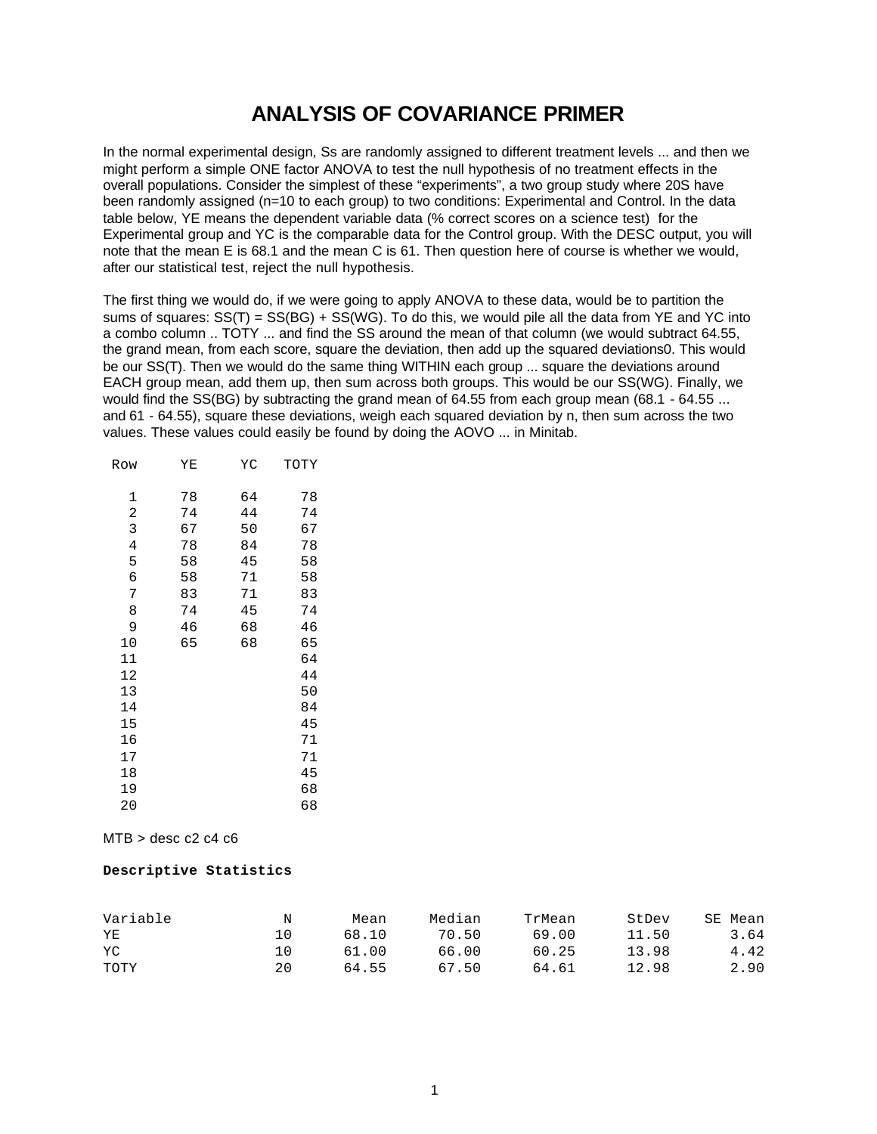# **ANALYSIS OF COVARIANCE PRIMER**

In the normal experimental design, Ss are randomly assigned to different treatment levels ... and then we might perform a simple ONE factor ANOVA to test the null hypothesis of no treatment effects in the overall populations. Consider the simplest of these "experiments", a two group study where 20S have been randomly assigned (n=10 to each group) to two conditions: Experimental and Control. In the data table below, YE means the dependent variable data (% correct scores on a science test) for the Experimental group and YC is the comparable data for the Control group. With the DESC output, you will note that the mean E is 68.1 and the mean C is 61. Then question here of course is whether we would, after our statistical test, reject the null hypothesis.

The first thing we would do, if we were going to apply ANOVA to these data, would be to partition the sums of squares: SS(T) = SS(BG) + SS(WG). To do this, we would pile all the data from YE and YC into a combo column .. TOTY ... and find the SS around the mean of that column (we would subtract 64.55, the grand mean, from each score, square the deviation, then add up the squared deviations0. This would be our SS(T). Then we would do the same thing WITHIN each group ... square the deviations around EACH group mean, add them up, then sum across both groups. This would be our SS(WG). Finally, we would find the SS(BG) by subtracting the grand mean of 64.55 from each group mean (68.1 - 64.55 ... and 61 - 64.55), square these deviations, weigh each squared deviation by n, then sum across the two values. These values could easily be found by doing the AOVO ... in Minitab.

| Row            | ΥE | ΥC | TOTY |
|----------------|----|----|------|
|                |    |    |      |
| 1              | 78 | 64 | 78   |
| 2              | 74 | 44 | 74   |
| 3              | 67 | 50 | 67   |
| $\overline{4}$ | 78 | 84 | 78   |
| 5              | 58 | 45 | 58   |
| б              | 58 | 71 | 58   |
| 7              | 83 | 71 | 83   |
| 8              | 74 | 45 | 74   |
| 9              | 46 | 68 | 46   |
| 10             | 65 | 68 | 65   |
| 11             |    |    | 64   |
| 12             |    |    | 44   |
| 13             |    |    | 50   |
| 14             |    |    | 84   |
| 15             |    |    | 45   |
| 16             |    |    | 71   |
| 17             |    |    | 71   |
| 18             |    |    | 45   |
| 19             |    |    | 68   |
| 20             |    |    | 68   |

 $MTB >$  desc c2 c4 c6

#### **Descriptive Statistics**

| Variable | Ν   | Mean  | Median | TrMean | StDev | SE Mean |
|----------|-----|-------|--------|--------|-------|---------|
| YE       | 1 ೧ | 68.10 | 70.50  | 69.00  | 11.50 | 3.64    |
| YC       | 1 ∩ | 61.00 | 66.00  | 60.25  | 13.98 | 4.42    |
| TOTY     | 20  | 64.55 | 67.50  | 64.61  | 12.98 | 2.90    |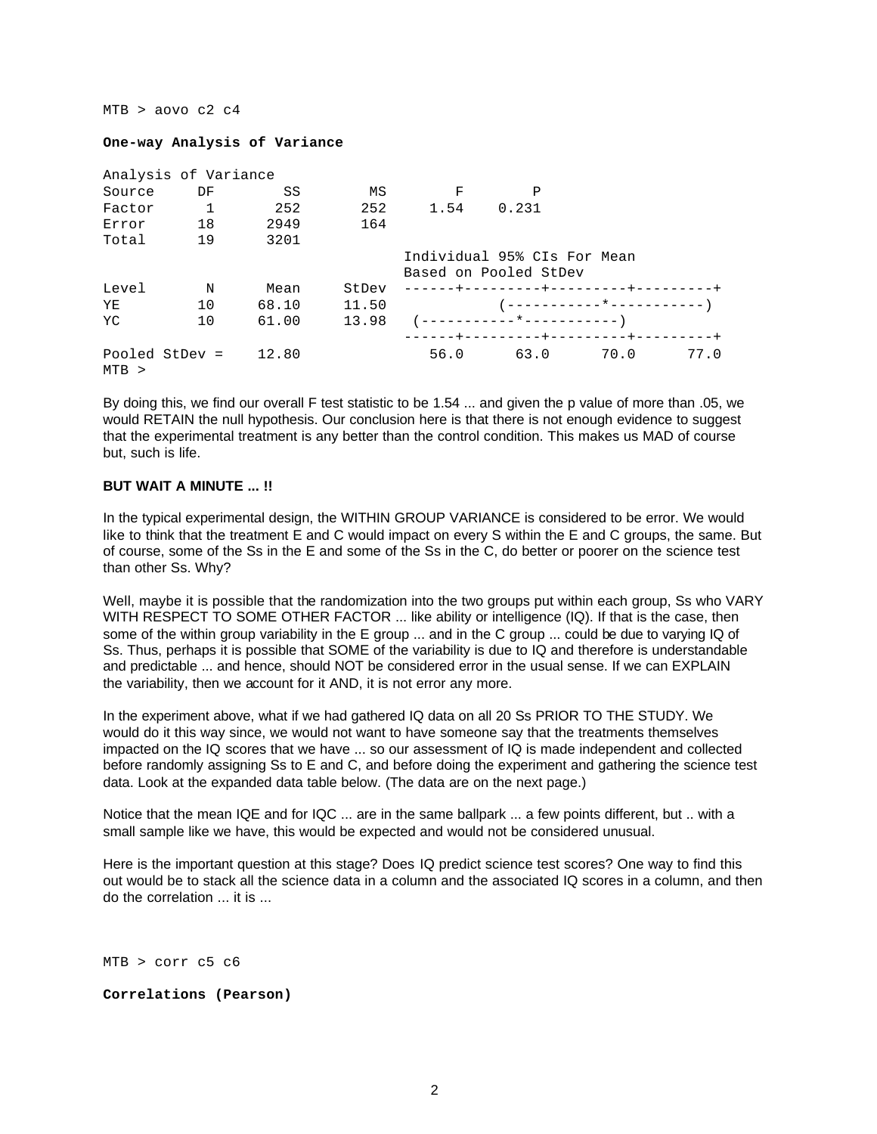#### $MTB$  > aovo c2 c4

#### **One-way Analysis of Variance**

|         | Analysis of Variance |       |       |      |                                                      |      |      |
|---------|----------------------|-------|-------|------|------------------------------------------------------|------|------|
| Source  | DF                   | SS    | MS    | F    | Ρ                                                    |      |      |
| Factor  | $\mathbf{1}$         | 252   | 252   | 1.54 | 0.231                                                |      |      |
| Error   | 18                   | 2949  | 164   |      |                                                      |      |      |
| Total   | 19                   | 3201  |       |      |                                                      |      |      |
|         |                      |       |       |      | Individual 95% CIs For Mean<br>Based on Pooled StDev |      |      |
| Level   | $\mathbf N$          | Mean  | StDev |      | -------+---------+---------+---------+               |      |      |
| YE      | 10                   | 68.10 | 11.50 |      |                                                      |      |      |
| YC      | 10                   | 61.00 | 13.98 |      |                                                      |      |      |
|         |                      |       |       |      | ------+---------+---------+-------+-                 |      |      |
| $MTB$ > | Pooled StDev =       | 12.80 |       | 56.0 | 63.0                                                 | 70.0 | 77.0 |

By doing this, we find our overall F test statistic to be 1.54 ... and given the p value of more than .05, we would RETAIN the null hypothesis. Our conclusion here is that there is not enough evidence to suggest that the experimental treatment is any better than the control condition. This makes us MAD of course but, such is life.

## **BUT WAIT A MINUTE ... !!**

In the typical experimental design, the WITHIN GROUP VARIANCE is considered to be error. We would like to think that the treatment E and C would impact on every S within the E and C groups, the same. But of course, some of the Ss in the E and some of the Ss in the C, do better or poorer on the science test than other Ss. Why?

Well, maybe it is possible that the randomization into the two groups put within each group. Ss who VARY WITH RESPECT TO SOME OTHER FACTOR ... like ability or intelligence (IQ). If that is the case, then some of the within group variability in the E group ... and in the C group ... could be due to varying IQ of Ss. Thus, perhaps it is possible that SOME of the variability is due to IQ and therefore is understandable and predictable ... and hence, should NOT be considered error in the usual sense. If we can EXPLAIN the variability, then we account for it AND, it is not error any more.

In the experiment above, what if we had gathered IQ data on all 20 Ss PRIOR TO THE STUDY. We would do it this way since, we would not want to have someone say that the treatments themselves impacted on the IQ scores that we have ... so our assessment of IQ is made independent and collected before randomly assigning Ss to E and C, and before doing the experiment and gathering the science test data. Look at the expanded data table below. (The data are on the next page.)

Notice that the mean IQE and for IQC ... are in the same ballpark ... a few points different, but .. with a small sample like we have, this would be expected and would not be considered unusual.

Here is the important question at this stage? Does IQ predict science test scores? One way to find this out would be to stack all the science data in a column and the associated IQ scores in a column, and then do the correlation ... it is ...

MTB > corr c5 c6

#### **Correlations (Pearson)**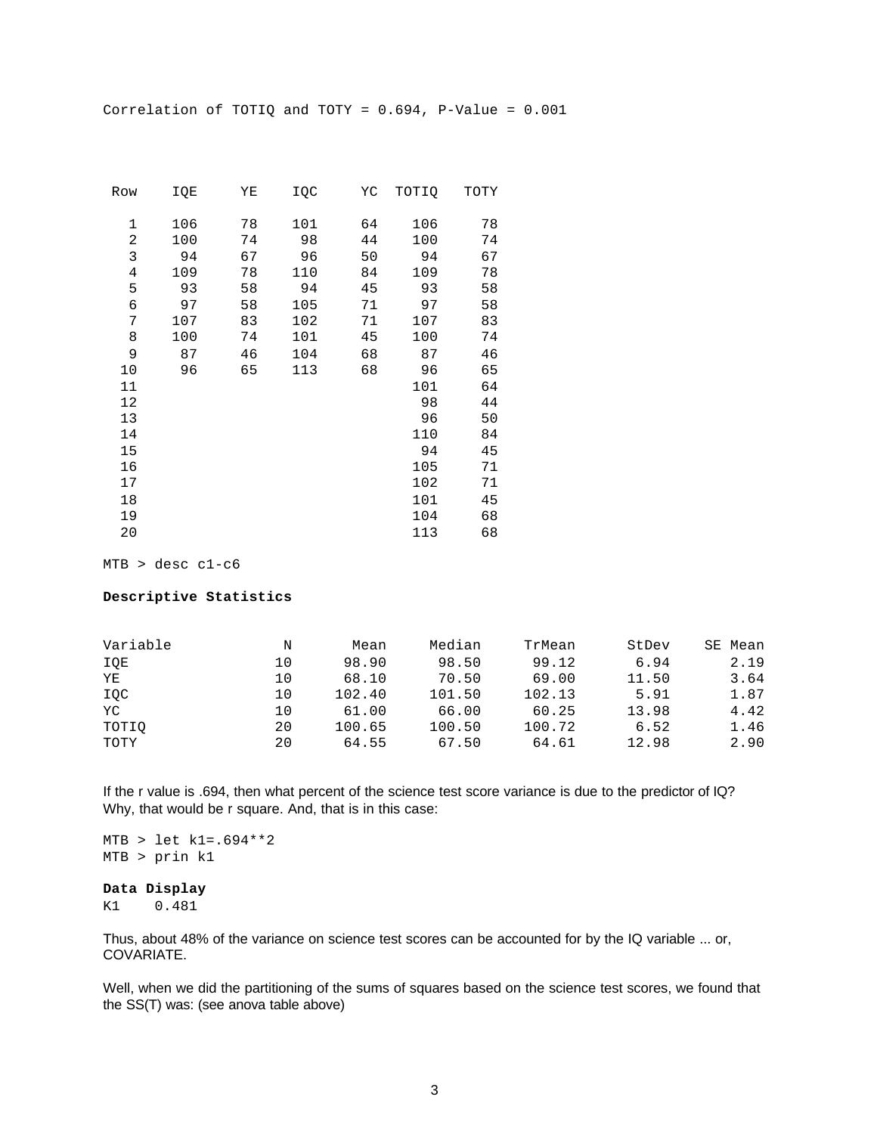Correlation of TOTIQ and TOTY = 0.694, P-Value = 0.001

| Row   | IQE | ΥE | IQC | YC | TOTIO | TOTY |
|-------|-----|----|-----|----|-------|------|
| 1     | 106 | 78 | 101 | 64 | 106   | 78   |
| 2     | 100 | 74 | 98  | 44 | 100   | 74   |
| 3     | 94  | 67 | 96  | 50 | 94    | 67   |
| $\,4$ | 109 | 78 | 110 | 84 | 109   | 78   |
| 5     | 93  | 58 | 94  | 45 | 93    | 58   |
| 6     | 97  | 58 | 105 | 71 | 97    | 58   |
| 7     | 107 | 83 | 102 | 71 | 107   | 83   |
| 8     | 100 | 74 | 101 | 45 | 100   | 74   |
| 9     | 87  | 46 | 104 | 68 | 87    | 46   |
| 10    | 96  | 65 | 113 | 68 | 96    | 65   |
| 11    |     |    |     |    | 101   | 64   |
| 12    |     |    |     |    | 98    | 44   |
| 13    |     |    |     |    | 96    | 50   |
| 14    |     |    |     |    | 110   | 84   |
| 15    |     |    |     |    | 94    | 45   |
| 16    |     |    |     |    | 105   | 71   |
| 17    |     |    |     |    | 102   | 71   |
| 18    |     |    |     |    | 101   | 45   |
| 19    |     |    |     |    | 104   | 68   |
| 20    |     |    |     |    | 113   | 68   |
|       |     |    |     |    |       |      |

MTB > desc c1-c6

#### **Descriptive Statistics**

| Variable | N  | Mean   | Median | TrMean | StDev | SE Mean |
|----------|----|--------|--------|--------|-------|---------|
| IQE      | 10 | 98.90  | 98.50  | 99.12  | 6.94  | 2.19    |
| YE       | 10 | 68.10  | 70.50  | 69.00  | 11.50 | 3.64    |
| IQC      | 10 | 102.40 | 101.50 | 102.13 | 5.91  | 1.87    |
| YC       | 10 | 61.00  | 66.00  | 60.25  | 13.98 | 4.42    |
| TOTIO    | 20 | 100.65 | 100.50 | 100.72 | 6.52  | 1.46    |
| TOTY     | 20 | 64.55  | 67.50  | 64.61  | 12.98 | 2.90    |

If the r value is .694, then what percent of the science test score variance is due to the predictor of IQ? Why, that would be r square. And, that is in this case:

MTB > let k1=.694\*\*2 MTB > prin k1

# **Data Display**

K1 0.481

Thus, about 48% of the variance on science test scores can be accounted for by the IQ variable ... or, COVARIATE.

Well, when we did the partitioning of the sums of squares based on the science test scores, we found that the SS(T) was: (see anova table above)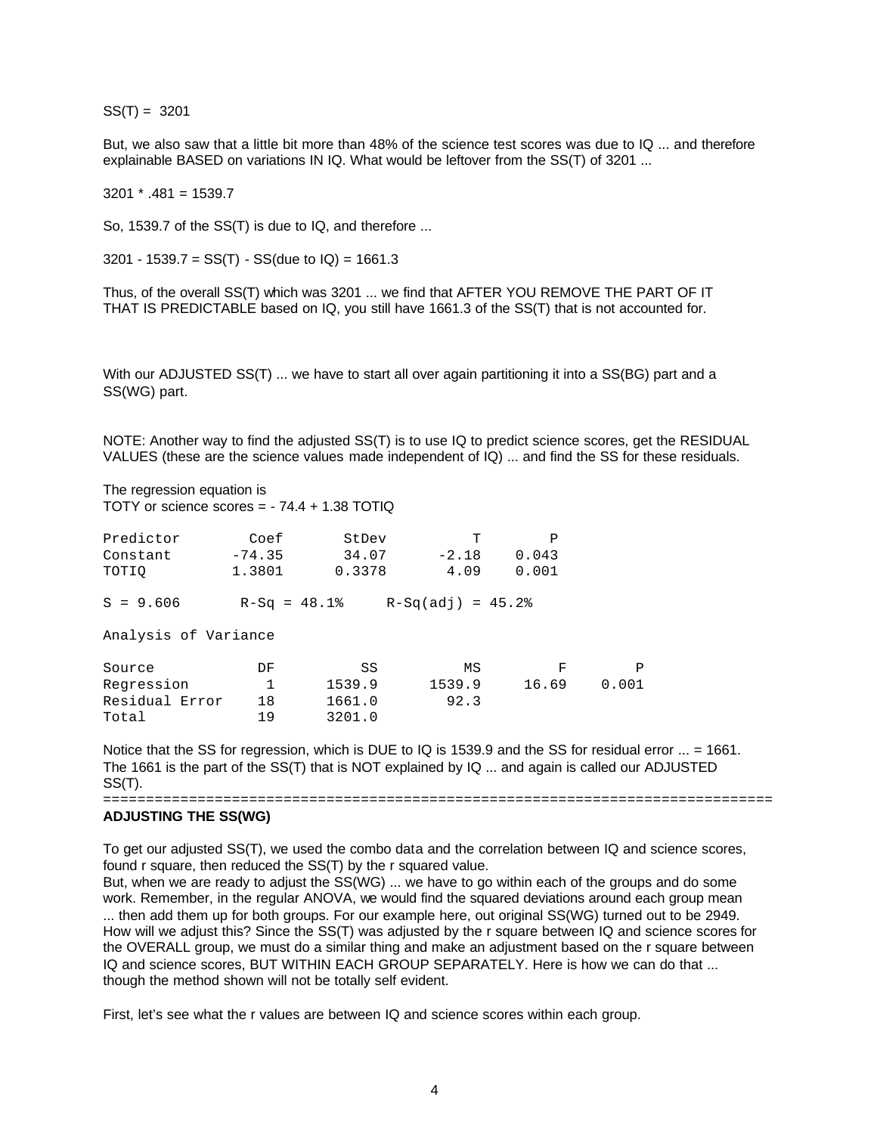SS(T) = 3201

But, we also saw that a little bit more than 48% of the science test scores was due to IQ ... and therefore explainable BASED on variations IN IQ. What would be leftover from the SS(T) of 3201 ...

 $3201 * 481 = 1539.7$ 

So, 1539.7 of the SS(T) is due to IQ, and therefore ...

3201 - 1539.7 =  $SS(T)$  -  $SS(due to IQ)$  = 1661.3

Thus, of the overall SS(T) which was 3201 ... we find that AFTER YOU REMOVE THE PART OF IT THAT IS PREDICTABLE based on IQ, you still have 1661.3 of the SS(T) that is not accounted for.

With our ADJUSTED SS(T) ... we have to start all over again partitioning it into a SS(BG) part and a SS(WG) part.

NOTE: Another way to find the adjusted SS(T) is to use IQ to predict science scores, get the RESIDUAL VALUES (these are the science values made independent of IQ) ... and find the SS for these residuals.

The regression equation is TOTY or science scores = - 74.4 + 1.38 TOTIQ

| Coef<br>$-74.35$<br>1.3801 | StDev<br>34.07<br>0.3378 | т<br>$-2.18$<br>4.09 | Ρ<br>0.043<br>0.001 |                    |
|----------------------------|--------------------------|----------------------|---------------------|--------------------|
|                            |                          |                      |                     |                    |
| Analysis of Variance       |                          |                      |                     |                    |
| DF                         | SS                       | ΜS                   | F                   | P                  |
| $\mathbf{1}$               | 1539.9                   | 1539.9               | 16.69               | 0.001              |
| 18                         | 1661.0                   | 92.3                 |                     |                    |
| 19                         | 3201.0                   |                      |                     |                    |
|                            |                          | $R-Sq = 48.1$        |                     | $R-Sq(adj) = 45.2$ |

Notice that the SS for regression, which is DUE to IQ is 1539.9 and the SS for residual error ... = 1661. The 1661 is the part of the SS(T) that is NOT explained by IQ ... and again is called our ADJUSTED SS(T).

==============================================================================

## **ADJUSTING THE SS(WG)**

To get our adjusted SS(T), we used the combo data and the correlation between IQ and science scores, found r square, then reduced the SS(T) by the r squared value.

But, when we are ready to adjust the SS(WG) ... we have to go within each of the groups and do some work. Remember, in the regular ANOVA, we would find the squared deviations around each group mean ... then add them up for both groups. For our example here, out original SS(WG) turned out to be 2949. How will we adjust this? Since the SS(T) was adjusted by the r square between IQ and science scores for the OVERALL group, we must do a similar thing and make an adjustment based on the r square between IQ and science scores, BUT WITHIN EACH GROUP SEPARATELY. Here is how we can do that ... though the method shown will not be totally self evident.

First, let's see what the r values are between IQ and science scores within each group.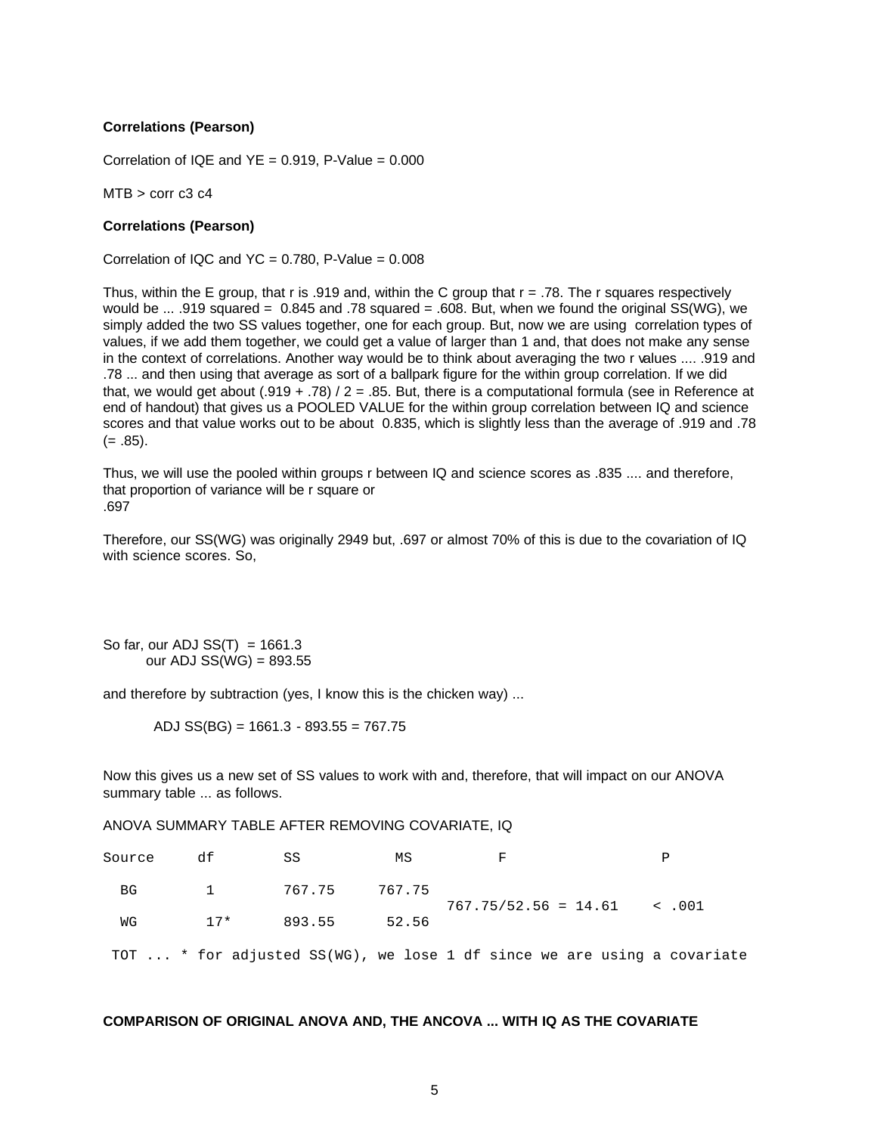## **Correlations (Pearson)**

Correlation of IQE and  $YE = 0.919$ . P-Value =  $0.000$ 

 $MTB > corr c3 c4$ 

#### **Correlations (Pearson)**

Correlation of IQC and  $YC = 0.780$ , P-Value =  $0.008$ 

Thus, within the E group, that r is .919 and, within the C group that  $r = .78$ . The r squares respectively would be ... .919 squared = 0.845 and .78 squared = .608. But, when we found the original SS(WG), we simply added the two SS values together, one for each group. But, now we are using correlation types of values, if we add them together, we could get a value of larger than 1 and, that does not make any sense in the context of correlations. Another way would be to think about averaging the two r values .... .919 and .78 ... and then using that average as sort of a ballpark figure for the within group correlation. If we did that, we would get about  $(.919 + .78) / 2 = .85$ . But, there is a computational formula (see in Reference at end of handout) that gives us a POOLED VALUE for the within group correlation between IQ and science scores and that value works out to be about 0.835, which is slightly less than the average of .919 and .78  $(= .85).$ 

Thus, we will use the pooled within groups r between IQ and science scores as .835 .... and therefore, that proportion of variance will be r square or .697

Therefore, our SS(WG) was originally 2949 but, .697 or almost 70% of this is due to the covariation of IQ with science scores. So,

So far, our ADJ  $SS(T) = 1661.3$ our ADJ  $SS(WG) = 893.55$ 

and therefore by subtraction (yes, I know this is the chicken way) ...

ADJ SS(BG) = 1661.3 - 893.55 = 767.75

Now this gives us a new set of SS values to work with and, therefore, that will impact on our ANOVA summary table ... as follows.

ANOVA SUMMARY TABLE AFTER REMOVING COVARIATE, IQ

| Source | df    | SS              | ΜS    |                                                                         |  |
|--------|-------|-----------------|-------|-------------------------------------------------------------------------|--|
| BG     |       | 1 767.75 767.75 |       |                                                                         |  |
| WG     | $17*$ | 893.55          | 52.56 | $767.75/52.56 = 14.61$ < .001                                           |  |
|        |       |                 |       | TOT  * for adjusted SS(WG), we lose 1 df since we are using a covariate |  |

## **COMPARISON OF ORIGINAL ANOVA AND, THE ANCOVA ... WITH IQ AS THE COVARIATE**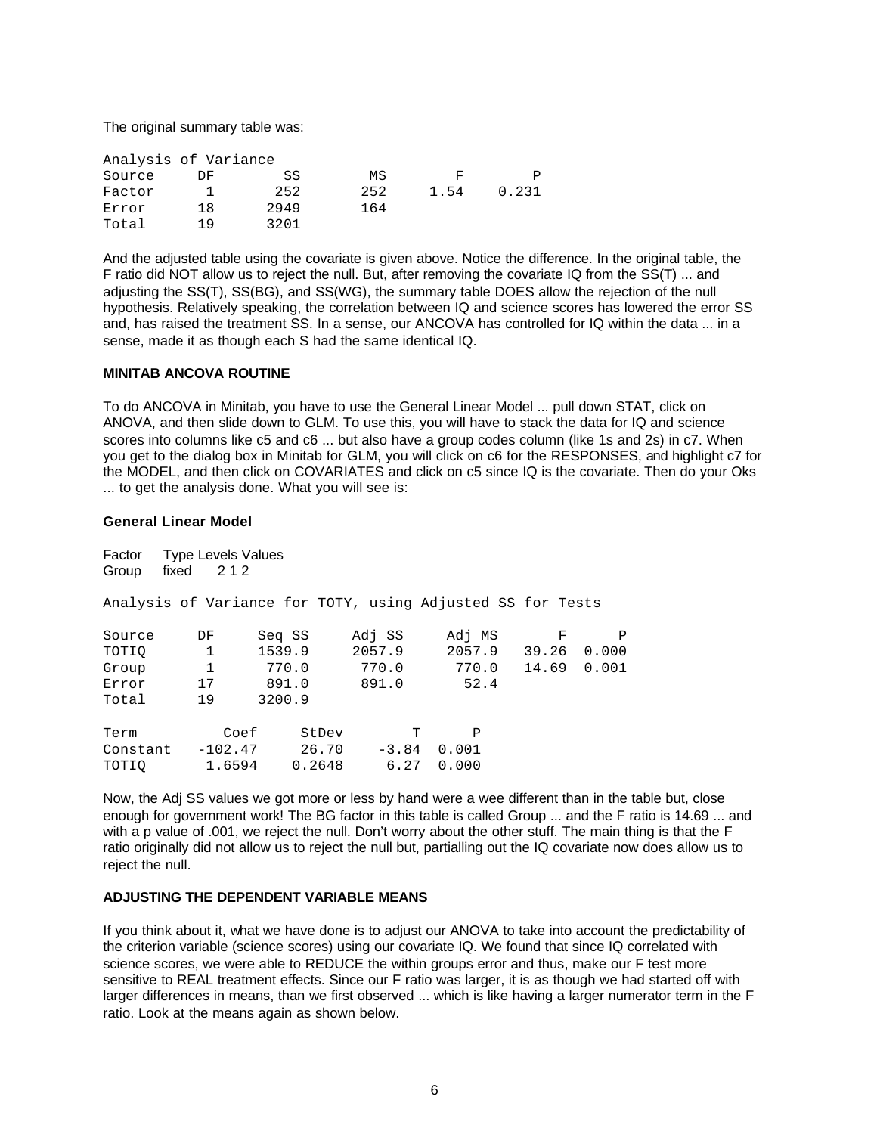The original summary table was:

| Analysis of Variance |     |      |     |      |       |
|----------------------|-----|------|-----|------|-------|
| Source               | DF  | SS   | ΜS  | F    |       |
| Factor               |     | 252  | 252 | 1.54 | 0.231 |
| Error                | 18  | 2949 | 164 |      |       |
| Total                | 1 Q | 3201 |     |      |       |

And the adjusted table using the covariate is given above. Notice the difference. In the original table, the F ratio did NOT allow us to reject the null. But, after removing the covariate IQ from the SS(T) ... and adjusting the SS(T), SS(BG), and SS(WG), the summary table DOES allow the rejection of the null hypothesis. Relatively speaking, the correlation between IQ and science scores has lowered the error SS and, has raised the treatment SS. In a sense, our ANCOVA has controlled for IQ within the data ... in a sense, made it as though each S had the same identical IQ.

## **MINITAB ANCOVA ROUTINE**

To do ANCOVA in Minitab, you have to use the General Linear Model ... pull down STAT, click on ANOVA, and then slide down to GLM. To use this, you will have to stack the data for IQ and science scores into columns like c5 and c6 ... but also have a group codes column (like 1s and 2s) in c7. When you get to the dialog box in Minitab for GLM, you will click on c6 for the RESPONSES, and highlight c7 for the MODEL, and then click on COVARIATES and click on c5 since IQ is the covariate. Then do your Oks ... to get the analysis done. What you will see is:

## **General Linear Model**

| Factor<br>Group                                            | <b>Type Levels Values</b><br>fixed $212$ |        |       |        |        |         |        |       |   |             |
|------------------------------------------------------------|------------------------------------------|--------|-------|--------|--------|---------|--------|-------|---|-------------|
| Analysis of Variance for TOTY, using Adjusted SS for Tests |                                          |        |       |        |        |         |        |       |   |             |
| Source                                                     | DF                                       | Seg SS |       |        | Adj SS |         | Adj MS |       | F | P           |
| TOTIO                                                      | $\mathbf{1}$                             | 1539.9 |       |        | 2057.9 |         | 2057.9 | 39.26 |   | 0.000       |
| Group                                                      | $\mathbf{1}$                             |        | 770.0 |        | 770.0  |         | 770.0  |       |   | 14.69 0.001 |
| Error                                                      | 17                                       |        | 891.0 |        | 891.0  |         | 52.4   |       |   |             |
| Total                                                      | 19                                       | 3200.9 |       |        |        |         |        |       |   |             |
| Term                                                       | Coef                                     |        |       | StDev  |        | т       | P      |       |   |             |
| Constant                                                   | $-102.47$                                |        |       | 26.70  |        | $-3.84$ | 0.001  |       |   |             |
| TOTIO                                                      | 1.6594                                   |        |       | 0.2648 |        | 6.27    | 0.000  |       |   |             |

Now, the Adj SS values we got more or less by hand were a wee different than in the table but, close enough for government work! The BG factor in this table is called Group ... and the F ratio is 14.69 ... and with a p value of .001, we reject the null. Don't worry about the other stuff. The main thing is that the F ratio originally did not allow us to reject the null but, partialling out the IQ covariate now does allow us to reject the null.

# **ADJUSTING THE DEPENDENT VARIABLE MEANS**

If you think about it, what we have done is to adjust our ANOVA to take into account the predictability of the criterion variable (science scores) using our covariate IQ. We found that since IQ correlated with science scores, we were able to REDUCE the within groups error and thus, make our F test more sensitive to REAL treatment effects. Since our F ratio was larger, it is as though we had started off with larger differences in means, than we first observed ... which is like having a larger numerator term in the F ratio. Look at the means again as shown below.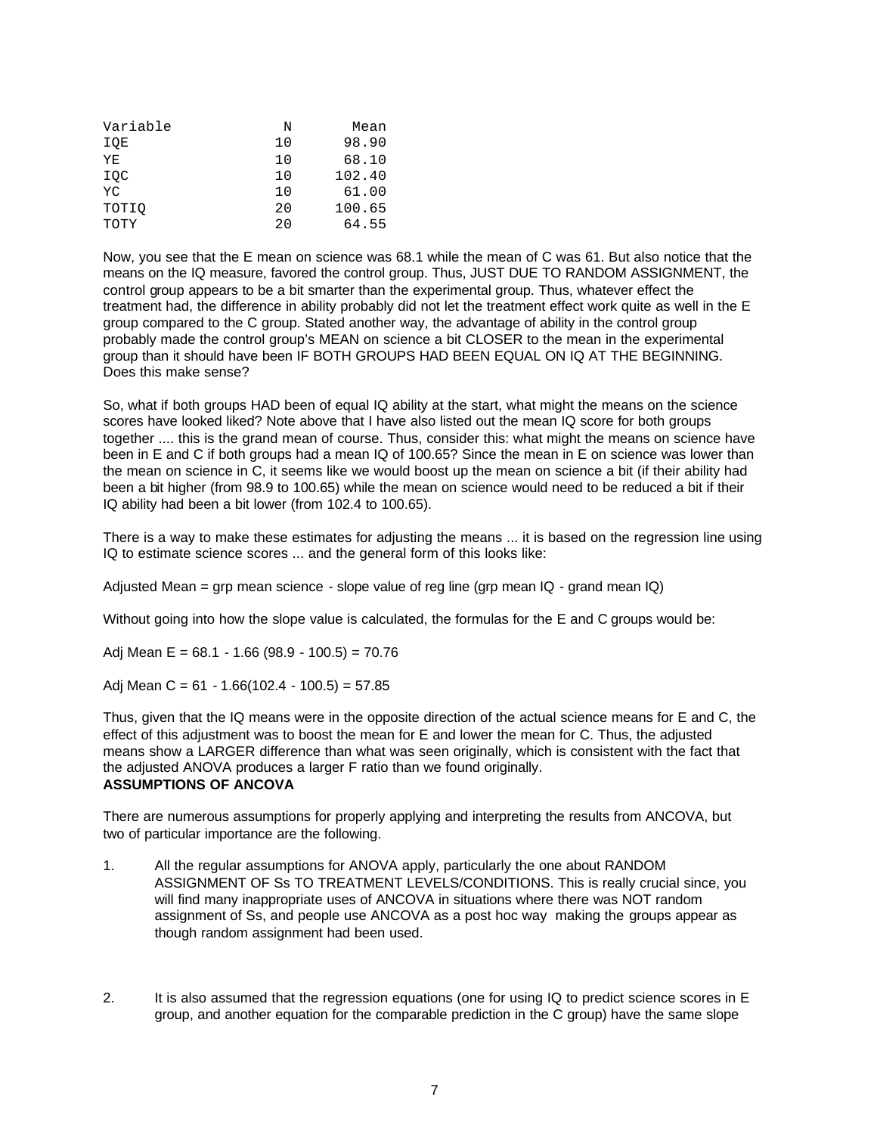| Variable | N   | Mean   |
|----------|-----|--------|
| IQE      | 10  | 98.90  |
| ΥE       | 1 O | 68.10  |
| IOC      | 10  | 102.40 |
| YC       | 10  | 61.00  |
| TOTIO    | 20  | 100.65 |
| TOTY     | 20  | 64.55  |

Now, you see that the E mean on science was 68.1 while the mean of C was 61. But also notice that the means on the IQ measure, favored the control group. Thus, JUST DUE TO RANDOM ASSIGNMENT, the control group appears to be a bit smarter than the experimental group. Thus, whatever effect the treatment had, the difference in ability probably did not let the treatment effect work quite as well in the E group compared to the C group. Stated another way, the advantage of ability in the control group probably made the control group's MEAN on science a bit CLOSER to the mean in the experimental group than it should have been IF BOTH GROUPS HAD BEEN EQUAL ON IQ AT THE BEGINNING. Does this make sense?

So, what if both groups HAD been of equal IQ ability at the start, what might the means on the science scores have looked liked? Note above that I have also listed out the mean IQ score for both groups together .... this is the grand mean of course. Thus, consider this: what might the means on science have been in E and C if both groups had a mean IQ of 100.65? Since the mean in E on science was lower than the mean on science in C, it seems like we would boost up the mean on science a bit (if their ability had been a bit higher (from 98.9 to 100.65) while the mean on science would need to be reduced a bit if their IQ ability had been a bit lower (from 102.4 to 100.65).

There is a way to make these estimates for adjusting the means ... it is based on the regression line using IQ to estimate science scores ... and the general form of this looks like:

Adjusted Mean = grp mean science - slope value of reg line (grp mean  $IQ$  - grand mean  $IQ$ )

Without going into how the slope value is calculated, the formulas for the E and C groups would be:

Adj Mean E =  $68.1 - 1.66$  (98.9 - 100.5) = 70.76

Adj Mean C =  $61 - 1.66(102.4 - 100.5) = 57.85$ 

Thus, given that the IQ means were in the opposite direction of the actual science means for E and C, the effect of this adjustment was to boost the mean for E and lower the mean for C. Thus, the adjusted means show a LARGER difference than what was seen originally, which is consistent with the fact that the adjusted ANOVA produces a larger F ratio than we found originally. **ASSUMPTIONS OF ANCOVA**

There are numerous assumptions for properly applying and interpreting the results from ANCOVA, but two of particular importance are the following.

- 1. All the regular assumptions for ANOVA apply, particularly the one about RANDOM ASSIGNMENT OF Ss TO TREATMENT LEVELS/CONDITIONS. This is really crucial since, you will find many inappropriate uses of ANCOVA in situations where there was NOT random assignment of Ss, and people use ANCOVA as a post hoc way making the groups appear as though random assignment had been used.
- 2. It is also assumed that the regression equations (one for using IQ to predict science scores in E group, and another equation for the comparable prediction in the C group) have the same slope